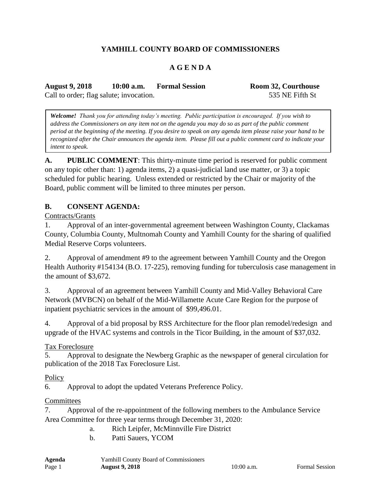# **YAMHILL COUNTY BOARD OF COMMISSIONERS**

### **A G E N D A**

**August 9, 2018 10:00 a.m. Formal Session Room 32, Courthouse** Call to order; flag salute; invocation. 535 NE Fifth St

*Welcome! Thank you for attending today's meeting. Public participation is encouraged. If you wish to address the Commissioners on any item not on the agenda you may do so as part of the public comment period at the beginning of the meeting. If you desire to speak on any agenda item please raise your hand to be recognized after the Chair announces the agenda item. Please fill out a public comment card to indicate your intent to speak.*

**A. PUBLIC COMMENT**: This thirty-minute time period is reserved for public comment on any topic other than: 1) agenda items, 2) a quasi-judicial land use matter, or 3) a topic scheduled for public hearing. Unless extended or restricted by the Chair or majority of the Board, public comment will be limited to three minutes per person.

#### **B. CONSENT AGENDA:**

Contracts/Grants

1. Approval of an inter-governmental agreement between Washington County, Clackamas County, Columbia County, Multnomah County and Yamhill County for the sharing of qualified Medial Reserve Corps volunteers.

2. Approval of amendment #9 to the agreement between Yamhill County and the Oregon Health Authority #154134 (B.O. 17-225), removing funding for tuberculosis case management in the amount of \$3,672.

3. Approval of an agreement between Yamhill County and Mid-Valley Behavioral Care Network (MVBCN) on behalf of the Mid-Willamette Acute Care Region for the purpose of inpatient psychiatric services in the amount of \$99,496.01.

4. Approval of a bid proposal by RSS Architecture for the floor plan remodel/redesign and upgrade of the HVAC systems and controls in the Ticor Building, in the amount of \$37,032.

Tax Foreclosure

5. Approval to designate the Newberg Graphic as the newspaper of general circulation for publication of the 2018 Tax Foreclosure List.

**Policy** 

6. Approval to adopt the updated Veterans Preference Policy.

#### **Committees**

7. Approval of the re-appointment of the following members to the Ambulance Service Area Committee for three year terms through December 31, 2020:

- a. Rich Leipfer, McMinnville Fire District
- b. Patti Sauers, YCOM

| Agenda | <b>Yamhill County Board of Commissioners</b> |
|--------|----------------------------------------------|
| Page 1 | <b>August 9, 2018</b>                        |

10:00 a.m. Formal Session